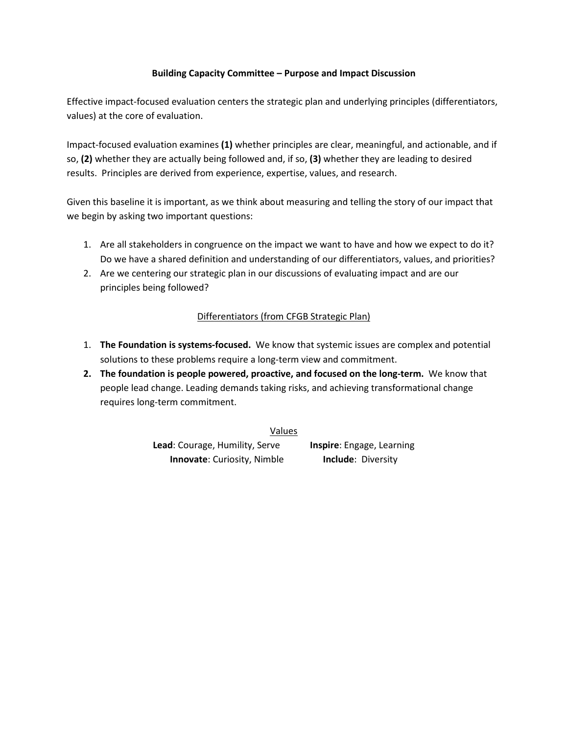## **Building Capacity Committee – Purpose and Impact Discussion**

Effective impact-focused evaluation centers the strategic plan and underlying principles (differentiators, values) at the core of evaluation.

Impact-focused evaluation examines **(1)** whether principles are clear, meaningful, and actionable, and if so, **(2)** whether they are actually being followed and, if so, **(3)** whether they are leading to desired results. Principles are derived from experience, expertise, values, and research.

Given this baseline it is important, as we think about measuring and telling the story of our impact that we begin by asking two important questions:

- 1. Are all stakeholders in congruence on the impact we want to have and how we expect to do it? Do we have a shared definition and understanding of our differentiators, values, and priorities?
- 2. Are we centering our strategic plan in our discussions of evaluating impact and are our principles being followed?

## Differentiators (from CFGB Strategic Plan)

- 1. **The Foundation is systems-focused.** We know that systemic issues are complex and potential solutions to these problems require a long-term view and commitment.
- **2. The foundation is people powered, proactive, and focused on the long-term.** We know that people lead change. Leading demands taking risks, and achieving transformational change requires long-term commitment.

Values

**Lead**: Courage, Humility, Serve **Inspire**: Engage, Learning **Innovate:** Curiosity, Nimble **Include:** Diversity